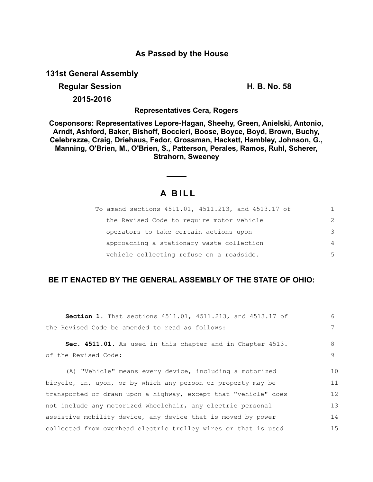### **As Passed by the House**

**131st General Assembly**

### **Regular Session H. B. No. 58**

**2015-2016**

**Representatives Cera, Rogers**

**Cosponsors: Representatives Lepore-Hagan, Sheehy, Green, Anielski, Antonio, Arndt, Ashford, Baker, Bishoff, Boccieri, Boose, Boyce, Boyd, Brown, Buchy, Celebrezze, Craig, Driehaus, Fedor, Grossman, Hackett, Hambley, Johnson, G., Manning, O'Brien, M., O'Brien, S., Patterson, Perales, Ramos, Ruhl, Scherer, Strahorn, Sweeney**

# **A B I L L**

 $\overline{\phantom{a}}$ 

|  | To amend sections 4511.01, 4511.213, and 4513.17 of | 1              |
|--|-----------------------------------------------------|----------------|
|  | the Revised Code to require motor vehicle           | $\mathcal{P}$  |
|  | operators to take certain actions upon              | 3              |
|  | approaching a stationary waste collection           | $\overline{4}$ |
|  | vehicle collecting refuse on a roadside.            | 5              |

# **BE IT ENACTED BY THE GENERAL ASSEMBLY OF THE STATE OF OHIO:**

| Section 1. That sections 4511.01, 4511.213, and 4513.17 of      | 6  |
|-----------------------------------------------------------------|----|
| the Revised Code be amended to read as follows:                 |    |
| Sec. 4511.01. As used in this chapter and in Chapter 4513.      | 8  |
| of the Revised Code:                                            | 9  |
| (A) "Vehicle" means every device, including a motorized         | 10 |
| bicycle, in, upon, or by which any person or property may be    | 11 |
| transported or drawn upon a highway, except that "vehicle" does |    |
| not include any motorized wheelchair, any electric personal     |    |
| assistive mobility device, any device that is moved by power    | 14 |
| collected from overhead electric trolley wires or that is used  | 15 |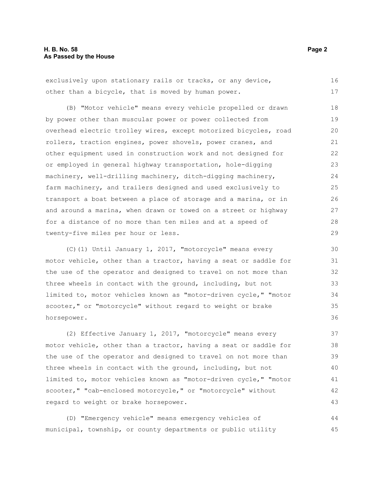exclusively upon stationary rails or tracks, or any device, other than a bicycle, that is moved by human power. 16 17

(B) "Motor vehicle" means every vehicle propelled or drawn by power other than muscular power or power collected from overhead electric trolley wires, except motorized bicycles, road rollers, traction engines, power shovels, power cranes, and other equipment used in construction work and not designed for or employed in general highway transportation, hole-digging machinery, well-drilling machinery, ditch-digging machinery, farm machinery, and trailers designed and used exclusively to transport a boat between a place of storage and a marina, or in and around a marina, when drawn or towed on a street or highway for a distance of no more than ten miles and at a speed of twenty-five miles per hour or less. 18 19 20 21 22 23 24 25 26 27 28 29

(C)(1) Until January 1, 2017, "motorcycle" means every motor vehicle, other than a tractor, having a seat or saddle for the use of the operator and designed to travel on not more than three wheels in contact with the ground, including, but not limited to, motor vehicles known as "motor-driven cycle," "motor scooter," or "motorcycle" without regard to weight or brake horsepower.

(2) Effective January 1, 2017, "motorcycle" means every motor vehicle, other than a tractor, having a seat or saddle for the use of the operator and designed to travel on not more than three wheels in contact with the ground, including, but not limited to, motor vehicles known as "motor-driven cycle," "motor scooter," "cab-enclosed motorcycle," or "motorcycle" without regard to weight or brake horsepower. 37 38 39 40 41 42 43

(D) "Emergency vehicle" means emergency vehicles of municipal, township, or county departments or public utility 44 45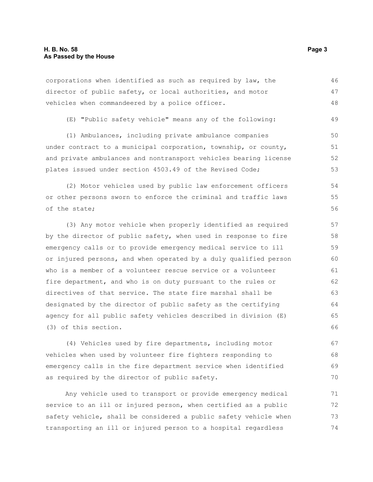corporations when identified as such as required by law, the director of public safety, or local authorities, and motor vehicles when commandeered by a police officer. 46 47 48

(E) "Public safety vehicle" means any of the following: 49

(1) Ambulances, including private ambulance companies under contract to a municipal corporation, township, or county, and private ambulances and nontransport vehicles bearing license plates issued under section 4503.49 of the Revised Code; 50 51 52 53

(2) Motor vehicles used by public law enforcement officers or other persons sworn to enforce the criminal and traffic laws of the state; 54 55 56

(3) Any motor vehicle when properly identified as required by the director of public safety, when used in response to fire emergency calls or to provide emergency medical service to ill or injured persons, and when operated by a duly qualified person who is a member of a volunteer rescue service or a volunteer fire department, and who is on duty pursuant to the rules or directives of that service. The state fire marshal shall be designated by the director of public safety as the certifying agency for all public safety vehicles described in division (E) (3) of this section. 57 58 59 60 61 62 63 64 65 66

(4) Vehicles used by fire departments, including motor vehicles when used by volunteer fire fighters responding to emergency calls in the fire department service when identified as required by the director of public safety. 67 68 69 70

Any vehicle used to transport or provide emergency medical service to an ill or injured person, when certified as a public safety vehicle, shall be considered a public safety vehicle when transporting an ill or injured person to a hospital regardless 71 72 73 74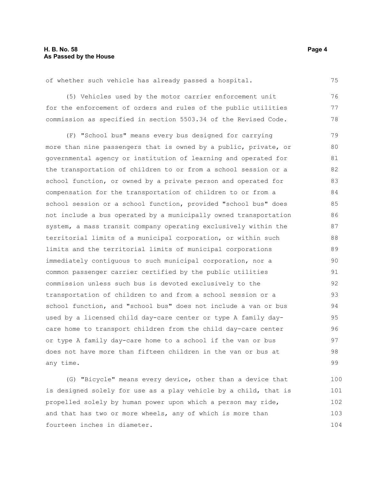of whether such vehicle has already passed a hospital.

(5) Vehicles used by the motor carrier enforcement unit for the enforcement of orders and rules of the public utilities commission as specified in section 5503.34 of the Revised Code. 76 77 78

(F) "School bus" means every bus designed for carrying more than nine passengers that is owned by a public, private, or governmental agency or institution of learning and operated for the transportation of children to or from a school session or a school function, or owned by a private person and operated for compensation for the transportation of children to or from a school session or a school function, provided "school bus" does not include a bus operated by a municipally owned transportation system, a mass transit company operating exclusively within the territorial limits of a municipal corporation, or within such limits and the territorial limits of municipal corporations immediately contiguous to such municipal corporation, nor a common passenger carrier certified by the public utilities commission unless such bus is devoted exclusively to the transportation of children to and from a school session or a school function, and "school bus" does not include a van or bus used by a licensed child day-care center or type A family daycare home to transport children from the child day-care center or type A family day-care home to a school if the van or bus does not have more than fifteen children in the van or bus at any time. 79 80 81 82 83 84 85 86 87 88 89 90 91 92 93 94 95 96 97 98 99

(G) "Bicycle" means every device, other than a device that is designed solely for use as a play vehicle by a child, that is propelled solely by human power upon which a person may ride, and that has two or more wheels, any of which is more than fourteen inches in diameter. 100 101 102 103 104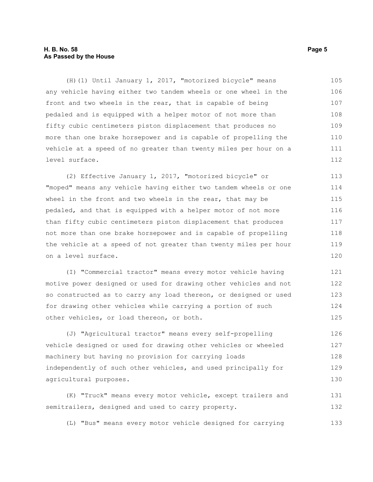#### **H. B. No. 58 Page 5 As Passed by the House**

(H)(1) Until January 1, 2017, "motorized bicycle" means any vehicle having either two tandem wheels or one wheel in the front and two wheels in the rear, that is capable of being pedaled and is equipped with a helper motor of not more than fifty cubic centimeters piston displacement that produces no more than one brake horsepower and is capable of propelling the vehicle at a speed of no greater than twenty miles per hour on a level surface. 105 106 107 108 109 110 111 112

(2) Effective January 1, 2017, "motorized bicycle" or "moped" means any vehicle having either two tandem wheels or one wheel in the front and two wheels in the rear, that may be pedaled, and that is equipped with a helper motor of not more than fifty cubic centimeters piston displacement that produces not more than one brake horsepower and is capable of propelling the vehicle at a speed of not greater than twenty miles per hour on a level surface. 113 114 115 116 117 118 119 120

(I) "Commercial tractor" means every motor vehicle having motive power designed or used for drawing other vehicles and not so constructed as to carry any load thereon, or designed or used for drawing other vehicles while carrying a portion of such other vehicles, or load thereon, or both. 121 122 123 124 125

(J) "Agricultural tractor" means every self-propelling vehicle designed or used for drawing other vehicles or wheeled machinery but having no provision for carrying loads independently of such other vehicles, and used principally for agricultural purposes. 126 127 128 129 130

(K) "Truck" means every motor vehicle, except trailers and semitrailers, designed and used to carry property. 131 132

(L) "Bus" means every motor vehicle designed for carrying 133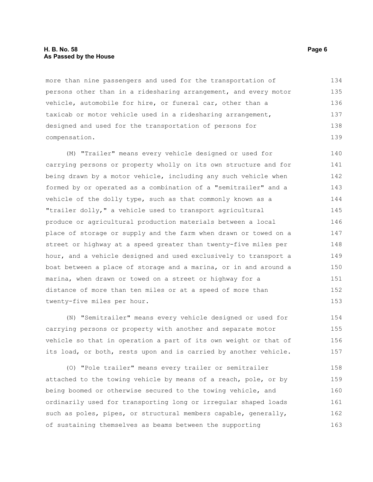#### **H. B. No. 58 Page 6 As Passed by the House**

more than nine passengers and used for the transportation of persons other than in a ridesharing arrangement, and every motor vehicle, automobile for hire, or funeral car, other than a taxicab or motor vehicle used in a ridesharing arrangement, designed and used for the transportation of persons for compensation. 134 135 136 137 138 139

(M) "Trailer" means every vehicle designed or used for carrying persons or property wholly on its own structure and for being drawn by a motor vehicle, including any such vehicle when formed by or operated as a combination of a "semitrailer" and a vehicle of the dolly type, such as that commonly known as a "trailer dolly," a vehicle used to transport agricultural produce or agricultural production materials between a local place of storage or supply and the farm when drawn or towed on a street or highway at a speed greater than twenty-five miles per hour, and a vehicle designed and used exclusively to transport a boat between a place of storage and a marina, or in and around a marina, when drawn or towed on a street or highway for a distance of more than ten miles or at a speed of more than twenty-five miles per hour. 140 141 142 143 144 145 146 147 148 149 150 151 152 153

(N) "Semitrailer" means every vehicle designed or used for carrying persons or property with another and separate motor vehicle so that in operation a part of its own weight or that of its load, or both, rests upon and is carried by another vehicle. 154 155 156 157

(O) "Pole trailer" means every trailer or semitrailer attached to the towing vehicle by means of a reach, pole, or by being boomed or otherwise secured to the towing vehicle, and ordinarily used for transporting long or irregular shaped loads such as poles, pipes, or structural members capable, generally, of sustaining themselves as beams between the supporting 158 159 160 161 162 163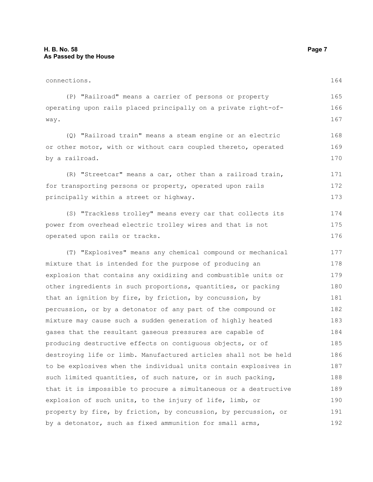| connections.                                                     |     |
|------------------------------------------------------------------|-----|
| (P) "Railroad" means a carrier of persons or property            | 165 |
| operating upon rails placed principally on a private right-of-   |     |
| way.                                                             | 167 |
| (Q) "Railroad train" means a steam engine or an electric         | 168 |
| or other motor, with or without cars coupled thereto, operated   | 169 |
| by a railroad.                                                   | 170 |
| (R) "Streetcar" means a car, other than a railroad train,        | 171 |
| for transporting persons or property, operated upon rails        | 172 |
| principally within a street or highway.                          | 173 |
| (S) "Trackless trolley" means every car that collects its        | 174 |
| power from overhead electric trolley wires and that is not       | 175 |
| operated upon rails or tracks.                                   |     |
| (T) "Explosives" means any chemical compound or mechanical       | 177 |
| mixture that is intended for the purpose of producing an         | 178 |
| explosion that contains any oxidizing and combustible units or   | 179 |
| other ingredients in such proportions, quantities, or packing    | 180 |
| that an ignition by fire, by friction, by concussion, by         | 181 |
| percussion, or by a detonator of any part of the compound or     | 182 |
| mixture may cause such a sudden generation of highly heated      | 183 |
| gases that the resultant gaseous pressures are capable of        | 184 |
| producing destructive effects on contiguous objects, or of       | 185 |
| destroying life or limb. Manufactured articles shall not be held | 186 |
| to be explosives when the individual units contain explosives in | 187 |
| such limited quantities, of such nature, or in such packing,     | 188 |
| that it is impossible to procure a simultaneous or a destructive | 189 |

explosion of such units, to the injury of life, limb, or property by fire, by friction, by concussion, by percussion, or by a detonator, such as fixed ammunition for small arms, 190 191 192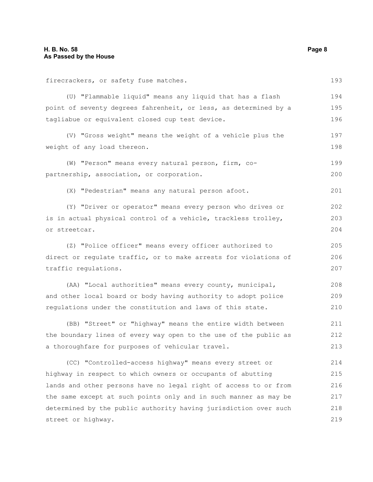street or highway.

| firecrackers, or safety fuse matches.                            |     |
|------------------------------------------------------------------|-----|
| (U) "Flammable liquid" means any liquid that has a flash         | 194 |
| point of seventy degrees fahrenheit, or less, as determined by a | 195 |
| tagliabue or equivalent closed cup test device.                  | 196 |
| (V) "Gross weight" means the weight of a vehicle plus the        | 197 |
| weight of any load thereon.                                      | 198 |
| (W) "Person" means every natural person, firm, co-               | 199 |
| partnership, association, or corporation.                        | 200 |
| (X) "Pedestrian" means any natural person afoot.                 | 201 |
| (Y) "Driver or operator" means every person who drives or        | 202 |
| is in actual physical control of a vehicle, trackless trolley,   | 203 |
| or streetcar.                                                    | 204 |
| (Z) "Police officer" means every officer authorized to           | 205 |
| direct or regulate traffic, or to make arrests for violations of |     |
| traffic regulations.                                             |     |
| (AA) "Local authorities" means every county, municipal,          | 208 |
| and other local board or body having authority to adopt police   | 209 |
| regulations under the constitution and laws of this state.       | 210 |
| (BB) "Street" or "highway" means the entire width between        | 211 |
| the boundary lines of every way open to the use of the public as | 212 |
| a thoroughfare for purposes of vehicular travel.                 | 213 |
| (CC) "Controlled-access highway" means every street or           | 214 |
| highway in respect to which owners or occupants of abutting      | 215 |
| lands and other persons have no legal right of access to or from | 216 |
| the same except at such points only and in such manner as may be |     |

determined by the public authority having jurisdiction over such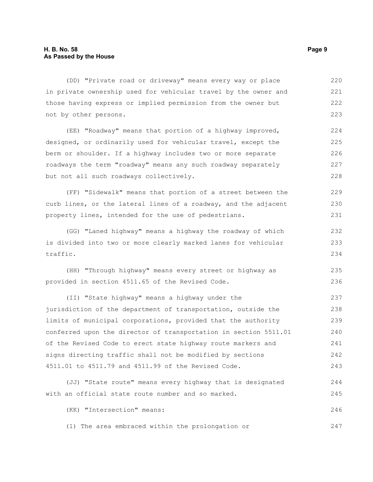(DD) "Private road or driveway" means every way or place in private ownership used for vehicular travel by the owner and those having express or implied permission from the owner but not by other persons. (EE) "Roadway" means that portion of a highway improved, 220 221 222 223 224

designed, or ordinarily used for vehicular travel, except the berm or shoulder. If a highway includes two or more separate roadways the term "roadway" means any such roadway separately but not all such roadways collectively. 225 226 227 228

(FF) "Sidewalk" means that portion of a street between the curb lines, or the lateral lines of a roadway, and the adjacent property lines, intended for the use of pedestrians. 229 230 231

(GG) "Laned highway" means a highway the roadway of which is divided into two or more clearly marked lanes for vehicular traffic. 232 233 234

(HH) "Through highway" means every street or highway as provided in section 4511.65 of the Revised Code. 235 236

(II) "State highway" means a highway under the jurisdiction of the department of transportation, outside the limits of municipal corporations, provided that the authority conferred upon the director of transportation in section 5511.01 of the Revised Code to erect state highway route markers and signs directing traffic shall not be modified by sections 4511.01 to 4511.79 and 4511.99 of the Revised Code. 237 238 239 240 241 242 243

(JJ) "State route" means every highway that is designated with an official state route number and so marked. 244 245

(KK) "Intersection" means: 246

(1) The area embraced within the prolongation or 247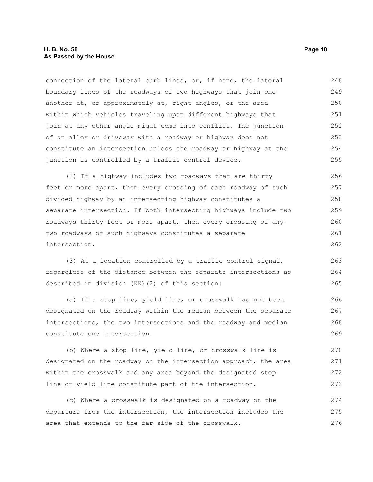#### **H. B. No. 58 Page 10 As Passed by the House**

connection of the lateral curb lines, or, if none, the lateral boundary lines of the roadways of two highways that join one another at, or approximately at, right angles, or the area within which vehicles traveling upon different highways that join at any other angle might come into conflict. The junction of an alley or driveway with a roadway or highway does not constitute an intersection unless the roadway or highway at the junction is controlled by a traffic control device. 248 249 250 251 252 253 254 255

(2) If a highway includes two roadways that are thirty feet or more apart, then every crossing of each roadway of such divided highway by an intersecting highway constitutes a separate intersection. If both intersecting highways include two roadways thirty feet or more apart, then every crossing of any two roadways of such highways constitutes a separate intersection. 256 257 258 259 260 261 262

(3) At a location controlled by a traffic control signal, regardless of the distance between the separate intersections as described in division (KK)(2) of this section: 263 264 265

(a) If a stop line, yield line, or crosswalk has not been designated on the roadway within the median between the separate intersections, the two intersections and the roadway and median constitute one intersection. 266 267 268 269

(b) Where a stop line, yield line, or crosswalk line is designated on the roadway on the intersection approach, the area within the crosswalk and any area beyond the designated stop line or yield line constitute part of the intersection. 270 271 272 273

(c) Where a crosswalk is designated on a roadway on the departure from the intersection, the intersection includes the area that extends to the far side of the crosswalk. 274 275 276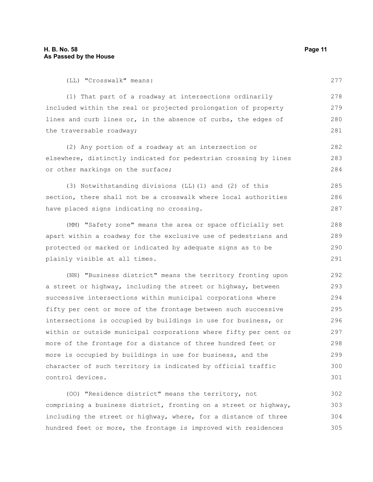(LL) "Crosswalk" means:

277

(1) That part of a roadway at intersections ordinarily included within the real or projected prolongation of property lines and curb lines or, in the absence of curbs, the edges of the traversable roadway; 278 279 280 281

(2) Any portion of a roadway at an intersection or elsewhere, distinctly indicated for pedestrian crossing by lines or other markings on the surface; 282 283 284

(3) Notwithstanding divisions (LL)(1) and (2) of this section, there shall not be a crosswalk where local authorities have placed signs indicating no crossing. 285 286 287

(MM) "Safety zone" means the area or space officially set apart within a roadway for the exclusive use of pedestrians and protected or marked or indicated by adequate signs as to be plainly visible at all times. 288 289 290 291

(NN) "Business district" means the territory fronting upon a street or highway, including the street or highway, between successive intersections within municipal corporations where fifty per cent or more of the frontage between such successive intersections is occupied by buildings in use for business, or within or outside municipal corporations where fifty per cent or more of the frontage for a distance of three hundred feet or more is occupied by buildings in use for business, and the character of such territory is indicated by official traffic control devices. 292 293 294 295 296 297 298 299 300 301

(OO) "Residence district" means the territory, not comprising a business district, fronting on a street or highway, including the street or highway, where, for a distance of three hundred feet or more, the frontage is improved with residences 302 303 304 305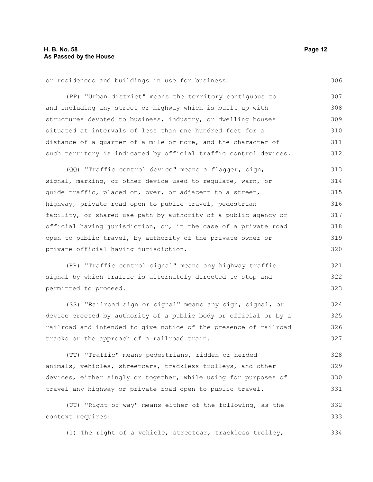or residences and buildings in use for business.

(PP) "Urban district" means the territory contiguous to and including any street or highway which is built up with structures devoted to business, industry, or dwelling houses situated at intervals of less than one hundred feet for a distance of a quarter of a mile or more, and the character of such territory is indicated by official traffic control devices. 307 308 309 310 311 312

(QQ) "Traffic control device" means a flagger, sign, signal, marking, or other device used to regulate, warn, or guide traffic, placed on, over, or adjacent to a street, highway, private road open to public travel, pedestrian facility, or shared-use path by authority of a public agency or official having jurisdiction, or, in the case of a private road open to public travel, by authority of the private owner or private official having jurisdiction. 313 314 315 316 317 318 319 320

(RR) "Traffic control signal" means any highway traffic signal by which traffic is alternately directed to stop and permitted to proceed. 321 322 323

(SS) "Railroad sign or signal" means any sign, signal, or device erected by authority of a public body or official or by a railroad and intended to give notice of the presence of railroad tracks or the approach of a railroad train. 324 325 326 327

(TT) "Traffic" means pedestrians, ridden or herded animals, vehicles, streetcars, trackless trolleys, and other devices, either singly or together, while using for purposes of travel any highway or private road open to public travel. 328 329 330 331

(UU) "Right-of-way" means either of the following, as the context requires: 332 333

(1) The right of a vehicle, streetcar, trackless trolley, 334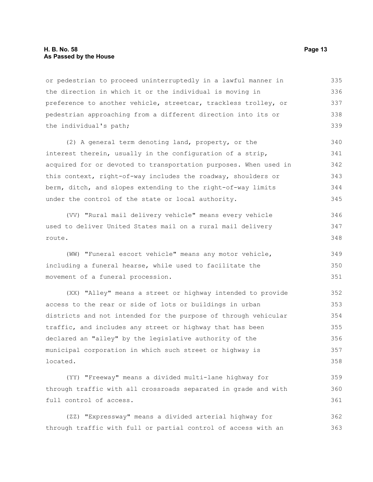#### **H. B. No. 58 Page 13 As Passed by the House**

or pedestrian to proceed uninterruptedly in a lawful manner in the direction in which it or the individual is moving in preference to another vehicle, streetcar, trackless trolley, or pedestrian approaching from a different direction into its or the individual's path; 335 336 337 338 339

(2) A general term denoting land, property, or the interest therein, usually in the configuration of a strip, acquired for or devoted to transportation purposes. When used in this context, right-of-way includes the roadway, shoulders or berm, ditch, and slopes extending to the right-of-way limits under the control of the state or local authority. 340 341 342 343 344 345

(VV) "Rural mail delivery vehicle" means every vehicle used to deliver United States mail on a rural mail delivery route. 346 347 348

(WW) "Funeral escort vehicle" means any motor vehicle, including a funeral hearse, while used to facilitate the movement of a funeral procession. 349 350 351

(XX) "Alley" means a street or highway intended to provide access to the rear or side of lots or buildings in urban districts and not intended for the purpose of through vehicular traffic, and includes any street or highway that has been declared an "alley" by the legislative authority of the municipal corporation in which such street or highway is located. 352 353 354 355 356 357 358

(YY) "Freeway" means a divided multi-lane highway for through traffic with all crossroads separated in grade and with full control of access. 359 360 361

(ZZ) "Expressway" means a divided arterial highway for through traffic with full or partial control of access with an 362 363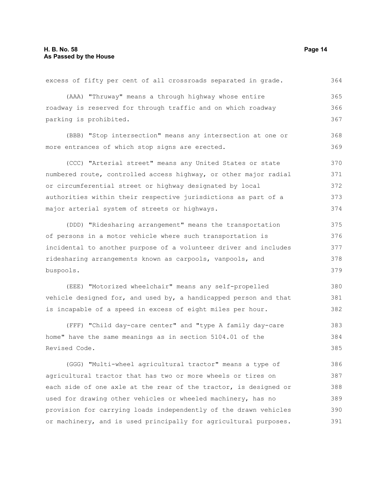| excess of fifty per cent of all crossroads separated in grade.   | 364 |
|------------------------------------------------------------------|-----|
| (AAA) "Thruway" means a through highway whose entire             | 365 |
| roadway is reserved for through traffic and on which roadway     | 366 |
| parking is prohibited.                                           | 367 |
| (BBB) "Stop intersection" means any intersection at one or       | 368 |
| more entrances of which stop signs are erected.                  | 369 |
| (CCC) "Arterial street" means any United States or state         | 370 |
| numbered route, controlled access highway, or other major radial | 371 |
| or circumferential street or highway designated by local         | 372 |
| authorities within their respective jurisdictions as part of a   | 373 |
| major arterial system of streets or highways.                    | 374 |
| (DDD) "Ridesharing arrangement" means the transportation         | 375 |
| of persons in a motor vehicle where such transportation is       | 376 |
| incidental to another purpose of a volunteer driver and includes | 377 |
| ridesharing arrangements known as carpools, vanpools, and        |     |
| buspools.                                                        | 379 |
| (EEE) "Motorized wheelchair" means any self-propelled            | 380 |
| vehicle designed for, and used by, a handicapped person and that | 381 |
| is incapable of a speed in excess of eight miles per hour.       | 382 |
| (FFF) "Child day-care center" and "type A family day-care        | 383 |
| home" have the same meanings as in section 5104.01 of the        | 384 |
| Revised Code.                                                    | 385 |
| (GGG) "Multi-wheel agricultural tractor" means a type of         | 386 |
| agricultural tractor that has two or more wheels or tires on     |     |
| each side of one axle at the rear of the tractor, is designed or | 388 |
| used for drawing other vehicles or wheeled machinery, has no     | 389 |
| provision for carrying loads independently of the drawn vehicles |     |

or machinery, and is used principally for agricultural purposes.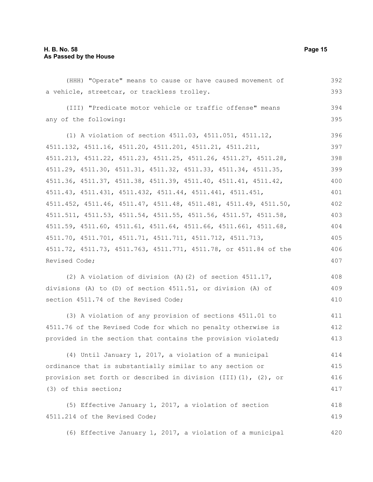| (HHH) "Operate" means to cause or have caused movement of             | 392 |
|-----------------------------------------------------------------------|-----|
| a vehicle, streetcar, or trackless trolley.                           | 393 |
| (III) "Predicate motor vehicle or traffic offense" means              | 394 |
| any of the following:                                                 | 395 |
| (1) A violation of section 4511.03, 4511.051, 4511.12,                | 396 |
| 4511.132, 4511.16, 4511.20, 4511.201, 4511.21, 4511.211,              | 397 |
| 4511.213, 4511.22, 4511.23, 4511.25, 4511.26, 4511.27, 4511.28,       | 398 |
| 4511.29, 4511.30, 4511.31, 4511.32, 4511.33, 4511.34, 4511.35,        | 399 |
| 4511.36, 4511.37, 4511.38, 4511.39, 4511.40, 4511.41, 4511.42,        | 400 |
| 4511.43, 4511.431, 4511.432, 4511.44, 4511.441, 4511.451,             | 401 |
| 4511.452, 4511.46, 4511.47, 4511.48, 4511.481, 4511.49, 4511.50,      | 402 |
| 4511.511, 4511.53, 4511.54, 4511.55, 4511.56, 4511.57, 4511.58,       | 403 |
| 4511.59, 4511.60, 4511.61, 4511.64, 4511.66, 4511.661, 4511.68,       | 404 |
| 4511.70, 4511.701, 4511.71, 4511.711, 4511.712, 4511.713,             | 405 |
| 4511.72, 4511.73, 4511.763, 4511.771, 4511.78, or 4511.84 of the      | 406 |
| Revised Code;                                                         |     |
| (2) A violation of division (A) (2) of section $4511.17$ ,            | 408 |
| divisions (A) to (D) of section 4511.51, or division (A) of           | 409 |
| section 4511.74 of the Revised Code;                                  | 410 |
| (3) A violation of any provision of sections 4511.01 to               | 411 |
| 4511.76 of the Revised Code for which no penalty otherwise is         | 412 |
| provided in the section that contains the provision violated;         | 413 |
| (4) Until January 1, 2017, a violation of a municipal                 | 414 |
| ordinance that is substantially similar to any section or             | 415 |
| provision set forth or described in division (III) $(1)$ , $(2)$ , or | 416 |
| (3) of this section;                                                  | 417 |
| (5) Effective January 1, 2017, a violation of section                 | 418 |
| 4511.214 of the Revised Code;                                         | 419 |
| (6) Effective January 1, 2017, a violation of a municipal             | 420 |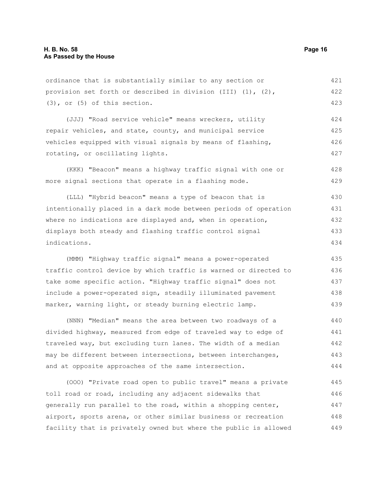ordinance that is substantially similar to any section or provision set forth or described in division (III) (1), (2), (3), or (5) of this section. 421 422 423

(JJJ) "Road service vehicle" means wreckers, utility repair vehicles, and state, county, and municipal service vehicles equipped with visual signals by means of flashing, rotating, or oscillating lights. 424 425 426 427

(KKK) "Beacon" means a highway traffic signal with one or more signal sections that operate in a flashing mode. 428 429

(LLL) "Hybrid beacon" means a type of beacon that is intentionally placed in a dark mode between periods of operation where no indications are displayed and, when in operation, displays both steady and flashing traffic control signal indications. 430 431 432 433 434

(MMM) "Highway traffic signal" means a power-operated traffic control device by which traffic is warned or directed to take some specific action. "Highway traffic signal" does not include a power-operated sign, steadily illuminated pavement marker, warning light, or steady burning electric lamp. 435 436 437 438 439

(NNN) "Median" means the area between two roadways of a divided highway, measured from edge of traveled way to edge of traveled way, but excluding turn lanes. The width of a median may be different between intersections, between interchanges, and at opposite approaches of the same intersection. 440 441 442 443 444

(OOO) "Private road open to public travel" means a private toll road or road, including any adjacent sidewalks that generally run parallel to the road, within a shopping center, airport, sports arena, or other similar business or recreation facility that is privately owned but where the public is allowed 445 446 447 448 449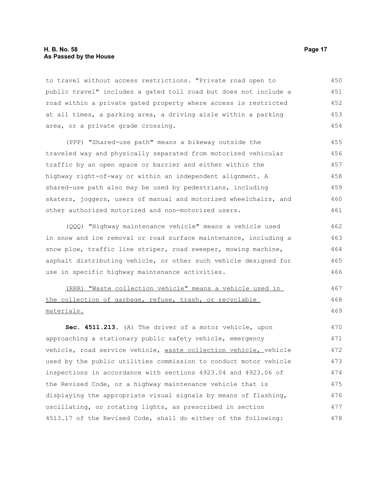#### **H. B. No. 58 Page 17 As Passed by the House**

to travel without access restrictions. "Private road open to public travel" includes a gated toll road but does not include a road within a private gated property where access is restricted at all times, a parking area, a driving aisle within a parking area, or a private grade crossing. 450 451 452 453 454

(PPP) "Shared-use path" means a bikeway outside the traveled way and physically separated from motorized vehicular traffic by an open space or barrier and either within the highway right-of-way or within an independent alignment. A shared-use path also may be used by pedestrians, including skaters, joggers, users of manual and motorized wheelchairs, and other authorized motorized and non-motorized users. 455 456 457 458 459 460 461

(QQQ) "Highway maintenance vehicle" means a vehicle used in snow and ice removal or road surface maintenance, including a snow plow, traffic line striper, road sweeper, mowing machine, asphalt distributing vehicle, or other such vehicle designed for use in specific highway maintenance activities. 462 463 464 465 466

(RRR) "Waste collection vehicle" means a vehicle used in the collection of garbage, refuse, trash, or recyclable materials. 467 468 469

**Sec. 4511.213.** (A) The driver of a motor vehicle, upon approaching a stationary public safety vehicle, emergency vehicle, road service vehicle, waste collection vehicle, vehicle used by the public utilities commission to conduct motor vehicle inspections in accordance with sections 4923.04 and 4923.06 of the Revised Code, or a highway maintenance vehicle that is displaying the appropriate visual signals by means of flashing, oscillating, or rotating lights, as prescribed in section 4513.17 of the Revised Code, shall do either of the following: 470 471 472 473 474 475 476 477 478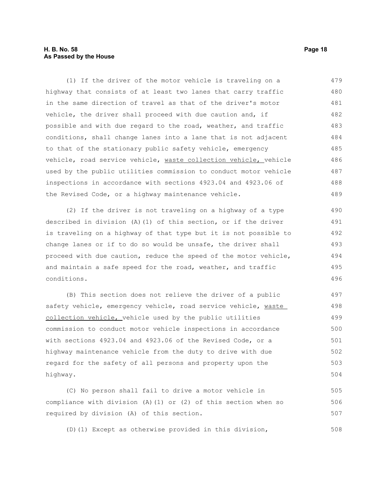#### **H. B. No. 58 Page 18 As Passed by the House**

(1) If the driver of the motor vehicle is traveling on a highway that consists of at least two lanes that carry traffic in the same direction of travel as that of the driver's motor vehicle, the driver shall proceed with due caution and, if possible and with due regard to the road, weather, and traffic conditions, shall change lanes into a lane that is not adjacent to that of the stationary public safety vehicle, emergency vehicle, road service vehicle, waste collection vehicle, vehicle used by the public utilities commission to conduct motor vehicle inspections in accordance with sections 4923.04 and 4923.06 of the Revised Code, or a highway maintenance vehicle. 479 480 481 482 483 484 485 486 487 488 489

(2) If the driver is not traveling on a highway of a type described in division (A)(1) of this section, or if the driver is traveling on a highway of that type but it is not possible to change lanes or if to do so would be unsafe, the driver shall proceed with due caution, reduce the speed of the motor vehicle, and maintain a safe speed for the road, weather, and traffic conditions. 490 491 492 493 494 495 496

(B) This section does not relieve the driver of a public safety vehicle, emergency vehicle, road service vehicle, waste collection vehicle, vehicle used by the public utilities commission to conduct motor vehicle inspections in accordance with sections 4923.04 and 4923.06 of the Revised Code, or a highway maintenance vehicle from the duty to drive with due regard for the safety of all persons and property upon the highway. 497 498 499 500 501 502 503 504

(C) No person shall fail to drive a motor vehicle in compliance with division  $(A)$  (1) or (2) of this section when so required by division (A) of this section. 505 506 507

(D)(1) Except as otherwise provided in this division, 508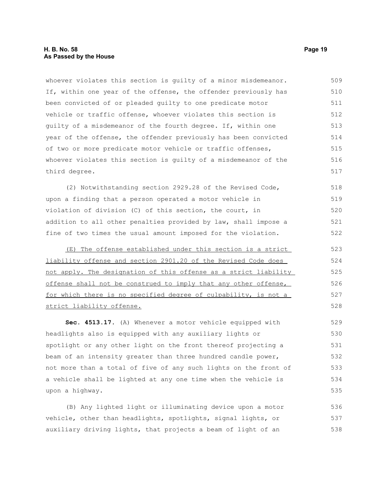#### **H. B. No. 58 Page 19 As Passed by the House**

whoever violates this section is guilty of a minor misdemeanor. If, within one year of the offense, the offender previously has been convicted of or pleaded guilty to one predicate motor vehicle or traffic offense, whoever violates this section is guilty of a misdemeanor of the fourth degree. If, within one year of the offense, the offender previously has been convicted of two or more predicate motor vehicle or traffic offenses, whoever violates this section is guilty of a misdemeanor of the third degree. 509 510 511 512 513 514 515 516 517

(2) Notwithstanding section 2929.28 of the Revised Code, upon a finding that a person operated a motor vehicle in violation of division (C) of this section, the court, in addition to all other penalties provided by law, shall impose a fine of two times the usual amount imposed for the violation. 518 519 520 521 522

 (E) The offense established under this section is a strict liability offense and section 2901.20 of the Revised Code does not apply. The designation of this offense as a strict liability offense shall not be construed to imply that any other offense, for which there is no specified degree of culpability, is not a strict liability offense.

**Sec. 4513.17.** (A) Whenever a motor vehicle equipped with headlights also is equipped with any auxiliary lights or spotlight or any other light on the front thereof projecting a beam of an intensity greater than three hundred candle power, not more than a total of five of any such lights on the front of a vehicle shall be lighted at any one time when the vehicle is upon a highway. 529 530 531 532 533 534 535

(B) Any lighted light or illuminating device upon a motor vehicle, other than headlights, spotlights, signal lights, or auxiliary driving lights, that projects a beam of light of an 536 537 538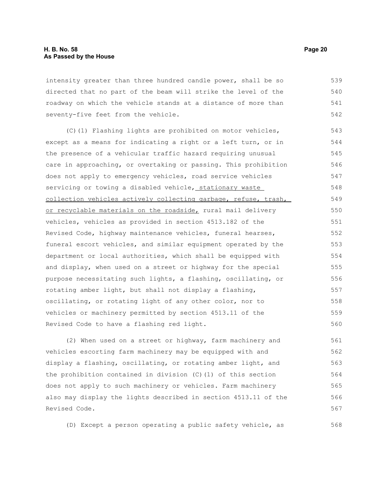intensity greater than three hundred candle power, shall be so directed that no part of the beam will strike the level of the roadway on which the vehicle stands at a distance of more than seventy-five feet from the vehicle. 539 540 541 542

(C)(1) Flashing lights are prohibited on motor vehicles, except as a means for indicating a right or a left turn, or in the presence of a vehicular traffic hazard requiring unusual care in approaching, or overtaking or passing. This prohibition does not apply to emergency vehicles, road service vehicles servicing or towing a disabled vehicle, stationary waste collection vehicles actively collecting garbage, refuse, trash, or recyclable materials on the roadside, rural mail delivery vehicles, vehicles as provided in section 4513.182 of the Revised Code, highway maintenance vehicles, funeral hearses, funeral escort vehicles, and similar equipment operated by the department or local authorities, which shall be equipped with and display, when used on a street or highway for the special purpose necessitating such lights, a flashing, oscillating, or rotating amber light, but shall not display a flashing, oscillating, or rotating light of any other color, nor to vehicles or machinery permitted by section 4513.11 of the Revised Code to have a flashing red light. 543 544 545 546 547 548 549 550 551 552 553 554 555 556 557 558 559 560

(2) When used on a street or highway, farm machinery and vehicles escorting farm machinery may be equipped with and display a flashing, oscillating, or rotating amber light, and the prohibition contained in division (C)(1) of this section does not apply to such machinery or vehicles. Farm machinery also may display the lights described in section 4513.11 of the Revised Code. 561 562 563 564 565 566 567

(D) Except a person operating a public safety vehicle, as